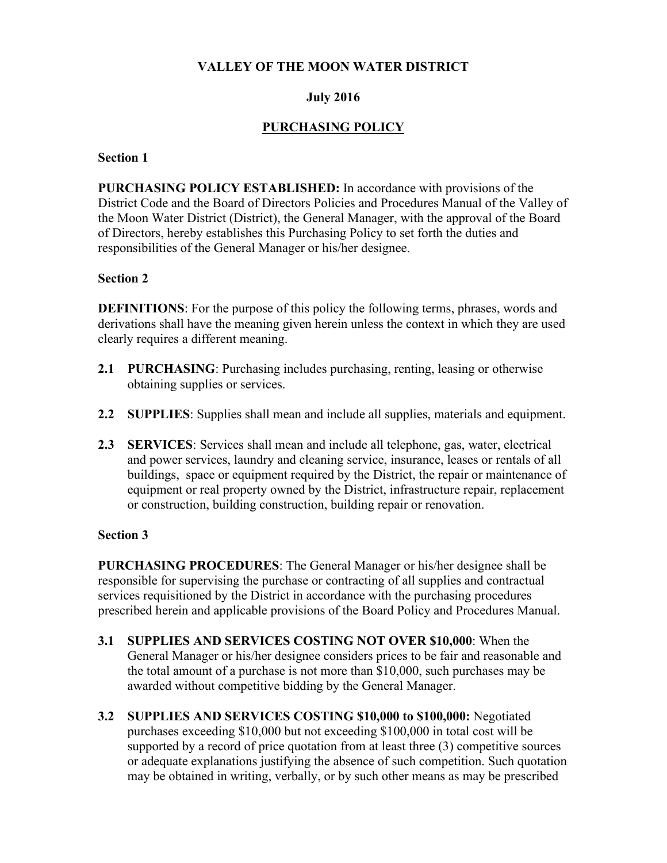### **VALLEY OF THE MOON WATER DISTRICT**

### **July 2016**

## **PURCHASING POLICY**

#### **Section 1**

**PURCHASING POLICY ESTABLISHED:** In accordance with provisions of the District Code and the Board of Directors Policies and Procedures Manual of the Valley of the Moon Water District (District), the General Manager, with the approval of the Board of Directors, hereby establishes this Purchasing Policy to set forth the duties and responsibilities of the General Manager or his/her designee.

### **Section 2**

**DEFINITIONS**: For the purpose of this policy the following terms, phrases, words and derivations shall have the meaning given herein unless the context in which they are used clearly requires a different meaning.

- **2.1 PURCHASING**: Purchasing includes purchasing, renting, leasing or otherwise obtaining supplies or services.
- **2.2 SUPPLIES**: Supplies shall mean and include all supplies, materials and equipment.
- **2.3 SERVICES**: Services shall mean and include all telephone, gas, water, electrical and power services, laundry and cleaning service, insurance, leases or rentals of all buildings, space or equipment required by the District, the repair or maintenance of equipment or real property owned by the District, infrastructure repair, replacement or construction, building construction, building repair or renovation.

### **Section 3**

**PURCHASING PROCEDURES**: The General Manager or his/her designee shall be responsible for supervising the purchase or contracting of all supplies and contractual services requisitioned by the District in accordance with the purchasing procedures prescribed herein and applicable provisions of the Board Policy and Procedures Manual.

- **3.1 SUPPLIES AND SERVICES COSTING NOT OVER \$10,000**: When the General Manager or his/her designee considers prices to be fair and reasonable and the total amount of a purchase is not more than \$10,000, such purchases may be awarded without competitive bidding by the General Manager.
- **3.2 SUPPLIES AND SERVICES COSTING \$10,000 to \$100,000:** Negotiated purchases exceeding \$10,000 but not exceeding \$100,000 in total cost will be supported by a record of price quotation from at least three (3) competitive sources or adequate explanations justifying the absence of such competition. Such quotation may be obtained in writing, verbally, or by such other means as may be prescribed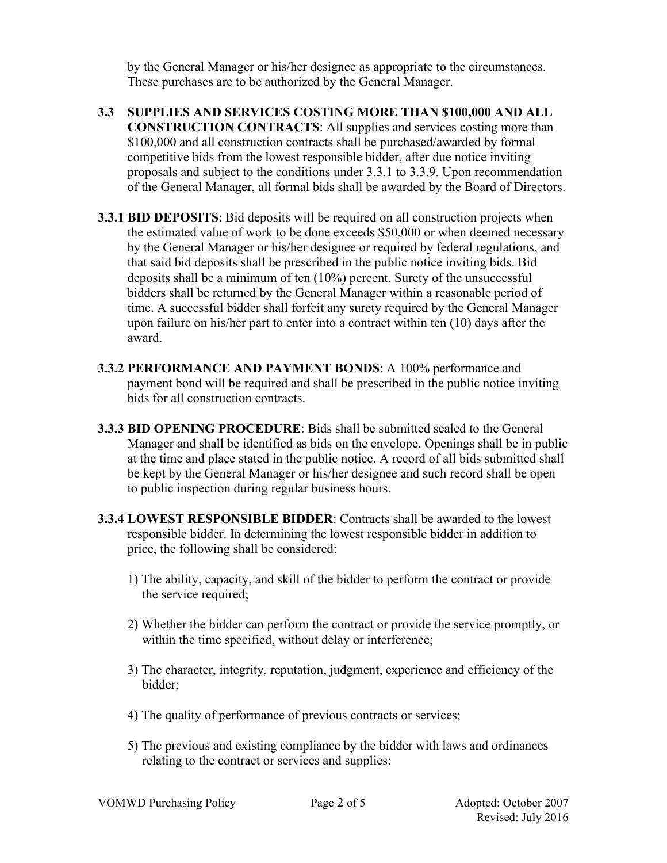by the General Manager or his/her designee as appropriate to the circumstances. These purchases are to be authorized by the General Manager.

- **3.3 SUPPLIES AND SERVICES COSTING MORE THAN \$100,000 AND ALL CONSTRUCTION CONTRACTS**: All supplies and services costing more than \$100,000 and all construction contracts shall be purchased/awarded by formal competitive bids from the lowest responsible bidder, after due notice inviting proposals and subject to the conditions under 3.3.1 to 3.3.9. Upon recommendation of the General Manager, all formal bids shall be awarded by the Board of Directors.
- **3.3.1 BID DEPOSITS**: Bid deposits will be required on all construction projects when the estimated value of work to be done exceeds \$50,000 or when deemed necessary by the General Manager or his/her designee or required by federal regulations, and that said bid deposits shall be prescribed in the public notice inviting bids. Bid deposits shall be a minimum of ten (10%) percent. Surety of the unsuccessful bidders shall be returned by the General Manager within a reasonable period of time. A successful bidder shall forfeit any surety required by the General Manager upon failure on his/her part to enter into a contract within ten (10) days after the award.
- **3.3.2 PERFORMANCE AND PAYMENT BONDS**: A 100% performance and payment bond will be required and shall be prescribed in the public notice inviting bids for all construction contracts.
- **3.3.3 BID OPENING PROCEDURE**: Bids shall be submitted sealed to the General Manager and shall be identified as bids on the envelope. Openings shall be in public at the time and place stated in the public notice. A record of all bids submitted shall be kept by the General Manager or his/her designee and such record shall be open to public inspection during regular business hours.
- **3.3.4 LOWEST RESPONSIBLE BIDDER**: Contracts shall be awarded to the lowest responsible bidder. In determining the lowest responsible bidder in addition to price, the following shall be considered:
	- 1) The ability, capacity, and skill of the bidder to perform the contract or provide the service required;
	- 2) Whether the bidder can perform the contract or provide the service promptly, or within the time specified, without delay or interference;
	- 3) The character, integrity, reputation, judgment, experience and efficiency of the bidder;
	- 4) The quality of performance of previous contracts or services;
	- 5) The previous and existing compliance by the bidder with laws and ordinances relating to the contract or services and supplies;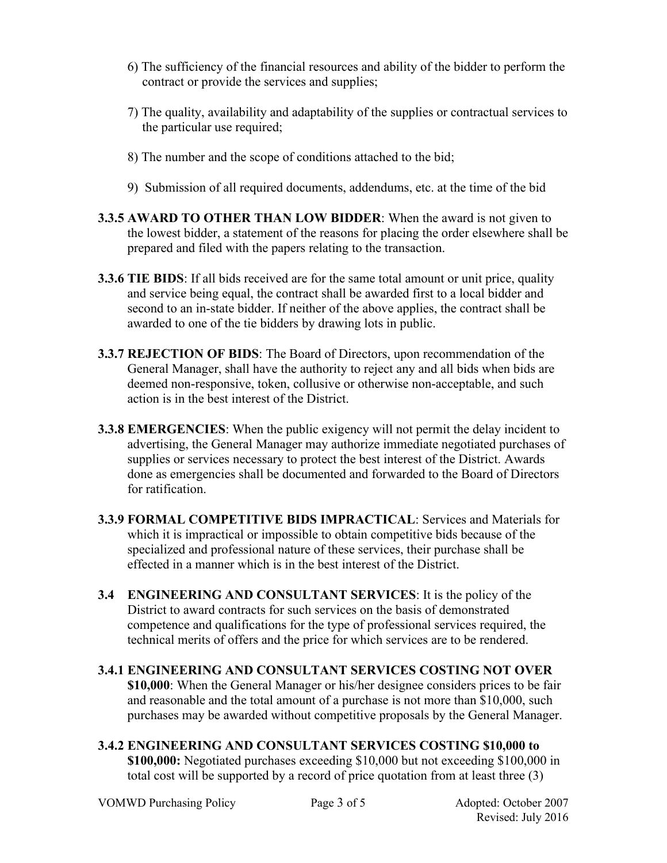- 6) The sufficiency of the financial resources and ability of the bidder to perform the contract or provide the services and supplies;
- 7) The quality, availability and adaptability of the supplies or contractual services to the particular use required;
- 8) The number and the scope of conditions attached to the bid;
- 9) Submission of all required documents, addendums, etc. at the time of the bid
- **3.3.5 AWARD TO OTHER THAN LOW BIDDER**: When the award is not given to the lowest bidder, a statement of the reasons for placing the order elsewhere shall be prepared and filed with the papers relating to the transaction.
- **3.3.6 TIE BIDS**: If all bids received are for the same total amount or unit price, quality and service being equal, the contract shall be awarded first to a local bidder and second to an in-state bidder. If neither of the above applies, the contract shall be awarded to one of the tie bidders by drawing lots in public.
- **3.3.7 REJECTION OF BIDS**: The Board of Directors, upon recommendation of the General Manager, shall have the authority to reject any and all bids when bids are deemed non-responsive, token, collusive or otherwise non-acceptable, and such action is in the best interest of the District.
- **3.3.8 EMERGENCIES**: When the public exigency will not permit the delay incident to advertising, the General Manager may authorize immediate negotiated purchases of supplies or services necessary to protect the best interest of the District. Awards done as emergencies shall be documented and forwarded to the Board of Directors for ratification.
- **3.3.9 FORMAL COMPETITIVE BIDS IMPRACTICAL**: Services and Materials for which it is impractical or impossible to obtain competitive bids because of the specialized and professional nature of these services, their purchase shall be effected in a manner which is in the best interest of the District.
- **3.4 ENGINEERING AND CONSULTANT SERVICES**: It is the policy of the District to award contracts for such services on the basis of demonstrated competence and qualifications for the type of professional services required, the technical merits of offers and the price for which services are to be rendered.
- **3.4.1 ENGINEERING AND CONSULTANT SERVICES COSTING NOT OVER \$10,000**: When the General Manager or his/her designee considers prices to be fair and reasonable and the total amount of a purchase is not more than \$10,000, such purchases may be awarded without competitive proposals by the General Manager.
- **3.4.2 ENGINEERING AND CONSULTANT SERVICES COSTING \$10,000 to \$100,000:** Negotiated purchases exceeding \$10,000 but not exceeding \$100,000 in total cost will be supported by a record of price quotation from at least three (3)

VOMWD Purchasing Policy Page 3 of 5 Adopted: October 2007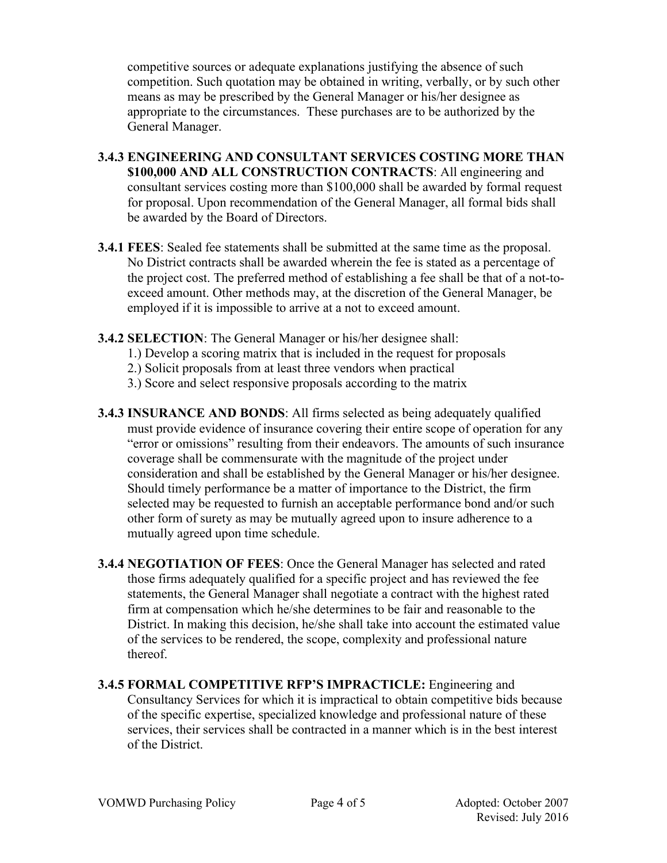competitive sources or adequate explanations justifying the absence of such competition. Such quotation may be obtained in writing, verbally, or by such other means as may be prescribed by the General Manager or his/her designee as appropriate to the circumstances. These purchases are to be authorized by the General Manager.

- **3.4.3 ENGINEERING AND CONSULTANT SERVICES COSTING MORE THAN \$100,000 AND ALL CONSTRUCTION CONTRACTS**: All engineering and consultant services costing more than \$100,000 shall be awarded by formal request for proposal. Upon recommendation of the General Manager, all formal bids shall be awarded by the Board of Directors.
- **3.4.1 FEES**: Sealed fee statements shall be submitted at the same time as the proposal. No District contracts shall be awarded wherein the fee is stated as a percentage of the project cost. The preferred method of establishing a fee shall be that of a not-toexceed amount. Other methods may, at the discretion of the General Manager, be employed if it is impossible to arrive at a not to exceed amount.
- **3.4.2 SELECTION**: The General Manager or his/her designee shall:
	- 1.) Develop a scoring matrix that is included in the request for proposals
	- 2.) Solicit proposals from at least three vendors when practical
	- 3.) Score and select responsive proposals according to the matrix
- **3.4.3 INSURANCE AND BONDS**: All firms selected as being adequately qualified must provide evidence of insurance covering their entire scope of operation for any "error or omissions" resulting from their endeavors. The amounts of such insurance coverage shall be commensurate with the magnitude of the project under consideration and shall be established by the General Manager or his/her designee. Should timely performance be a matter of importance to the District, the firm selected may be requested to furnish an acceptable performance bond and/or such other form of surety as may be mutually agreed upon to insure adherence to a mutually agreed upon time schedule.
- **3.4.4 NEGOTIATION OF FEES**: Once the General Manager has selected and rated those firms adequately qualified for a specific project and has reviewed the fee statements, the General Manager shall negotiate a contract with the highest rated firm at compensation which he/she determines to be fair and reasonable to the District. In making this decision, he/she shall take into account the estimated value of the services to be rendered, the scope, complexity and professional nature thereof.
- **3.4.5 FORMAL COMPETITIVE RFP'S IMPRACTICLE:** Engineering and Consultancy Services for which it is impractical to obtain competitive bids because of the specific expertise, specialized knowledge and professional nature of these services, their services shall be contracted in a manner which is in the best interest of the District.